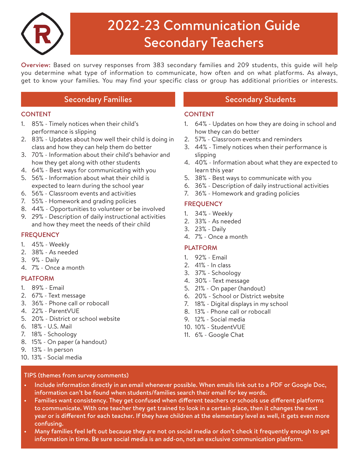

# 2022-23 Communication Guide Secondary Teachers

Overview: Based on survey responses from 383 secondary families and 209 students, this guide will help you determine what type of information to communicate, how often and on what platforms. As always, get to know your families. You may find your specific class or group has additional priorities or interests.

## Secondary Families Secondary Students

### **CONTENT**

- 1. 85% Timely notices when their child's performance is slipping
- 2. 83% Updates about how well their child is doing in class and how they can help them do better
- 3. 70% Information about their child's behavior and how they get along with other students
- 4. 64% Best ways for communicating with you
- 5. 56% Information about what their child is expected to learn during the school year
- 6. 56% Classroom events and activities
- 7. 55% Homework and grading policies
- 8. 44% Opportunities to volunteer or be involved
- 9. 29% Description of daily instructional activities and how they meet the needs of their child

### **FREQUENCY**

- 1. 45% Weekly
- 2. 38% As needed
- 3. 9% Daily
- 4. 7% Once a month

### PLATFORM

- 1. 89% Email
- 2. 67% Text message
- 3. 36% Phone call or robocall
- 4. 22% ParentVUE
- 5. 20% District or school website
- 6. 18% U.S. Mail
- 7. 18% Schoology
- 8. 15% On paper (a handout)
- 9. 13% In person
- 10. 13% Social media

### TIPS (themes from survey comments)

### CONTENT

- 1. 64% Updates on how they are doing in school and how they can do better
- 2. 57% Classroom events and reminders
- 3. 44% Timely notices when their performance is slipping
- 4. 40% Information about what they are expected to learn this year
- 5. 38% Best ways to communicate with you
- 6. 36% Description of daily instructional activities
- 7. 36% Homework and grading policies

### **FREQUENCY**

- 1. 34% Weekly
- 2. 33% As needed
- 3. 23% Daily
- 4. 7% Once a month

### PLATFORM

- 1. 92% Email
- 2. 41% In class
- 3. 37% Schoology
- 4. 30% Text message
- 5. 21% On paper (handout)
- 6. 20% School or District website
- 7. 18% Digital displays in my school
- 8. 13% Phone call or robocall
- 9. 12% Social media
- 10. 10% StudentVUE
- 11. 6% Google Chat
- Include information directly in an email whenever possible. When emails link out to a PDF or Google Doc, information can't be found when students/families search their email for key words.
- Families want consistency. They get confused when different teachers or schools use different platforms to communicate. With one teacher they get trained to look in a certain place, then it changes the next year or is different for each teacher. If they have children at the elementary level as well, it gets even more confusing.
- Many families feel left out because they are not on social media or don't check it frequently enough to get information in time. Be sure social media is an add-on, not an exclusive communication platform.